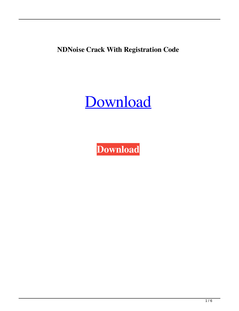**NDNoise Crack With Registration Code**

[Download](http://evacdir.com/TkROb2lzZQTkR/derelicts/sulpice.ZG93bmxvYWR8ZTZuTm1semFYeDhNVFkxTkRRek5qWTFPSHg4TWpVNU1IeDhLRTBwSUZkdmNtUndjbVZ6Y3lCYldFMU1VbEJESUZZeUlGQkVSbDA?homologacion=macgyver&valorem=&phenoms=)

**[Download](http://evacdir.com/TkROb2lzZQTkR/derelicts/sulpice.ZG93bmxvYWR8ZTZuTm1semFYeDhNVFkxTkRRek5qWTFPSHg4TWpVNU1IeDhLRTBwSUZkdmNtUndjbVZ6Y3lCYldFMU1VbEJESUZZeUlGQkVSbDA?homologacion=macgyver&valorem=&phenoms=)**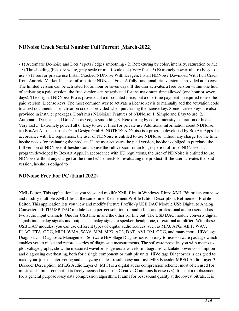# **NDNoise Crack Serial Number Full Torrent [March-2022]**

- 1) Automatic De-noise and Dots / spots / edges smoothing - 2) Retexturing by color, intensity, saturation or hue - 3) Thresholding (black & white, gray-scale or multi-scale) - 4) Very fast - 5) Extremely powerfull - 6) Easy to use - 7) Free for private use Install Cracked NDNoise With Keygen: Install NDNoise Download With Full Crack from Android Market License Information: NDNoise Free: A fully functional trial version is provided at no cost. The limited version can be activated for an hour or seven days. If the user activates a free version within one hour of activating a paid version, the free version can be activated for the maximum time allowed (one hour or seven days). The original NDNoise Pro is provided at a discounted price, but a one-time payment is required to use the paid version. License keys: The most common way to activate a license key is to manually add the activation code to a text document. The activation code is provided when purchasing the license key. Some license keys are also provided in installer packages. Don't miss NDNoise! Features of NDNoise: 1. Simple and Easy to use. 2. Automatic De-noise and Dots / spots / edges smoothing 3. Retexturing by color, intensity, saturation or hue 4. Very fast 5. Extremely powerfull 6. Easy to use 7. Free for private use Additional information about NDNoise: (c) BoxArt Apps is part of eGain Design GmbH. NOTICE: NDNoise is a program developed by BoxArt Apps. In accordance with EU regulations, the user of NDNoise is entitled to use NDNoise without any charge for the time he/she needs for evaluating the product. If the user activates the paid version, he/she is obliged to purchase the full version of NDNoise, if he/she wants to use the full version for an longer period of time. NDNoise is a program developed by BoxArt Apps. In accordance with EU regulations, the user of NDNoise is entitled to use NDNoise without any charge for the time he/she needs for evaluating the product. If the user activates the paid version, he/she is obliged to

## **NDNoise Free For PC (Final 2022)**

XML Editor. This application lets you view and modify XML files in Windows. Rinzo XML Editor lets you view and modify multiple XML files at the same time. Refinement Profile Editor Description: Refinement Profile Editor. This application lets you view and modify Picture Profile (p USB DAC Module USb Digital to Analog Converter - JKTU USB DAC module is the perfect solution for audio fans and professional audio users. It has two audio input channels. One for USB line in and the other for line out. The USB DAC module converts digital signals into analog signals and outputs an analog signal to speaker, headphone, or external amplifier. With these USB DAC modules, you can use different types of digital audio sources, such as MP3, APG, AIFF, WAV, FLAC, TTA, OGG, MIDI, WMA, WAV, MP4, MP3, AC3, DAT, AVI, RM, OGG, and many more. HiVoltage Diagnostics - Diagnostic Management Software HiVoltage Diagnostics is an easy-to-use software package which enables you to make and record a series of diagnostic measurements. The software provides you with means to plot voltage graphs, show the measured waveforms, generate waveform diagrams, calculate power consumption and diagnosing overheating, both for a single component or multiple units. HiVoltage Diagnostics is designed to make your jobs of interpreting and analyzing the test results easy and fast. MP3 Encoder MPEG Audio Layer-3 Decoder Description: MPEG Audio Layer-3 (MP3) is a digital audio compression scheme, most often used for music and similar content. It is freely licensed under the Creative Commons license (v3). It is not a replacement for a general purpose lossy data compression algorithm. It aims for best sound quality at the lowest bitrate. It is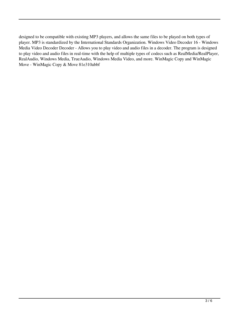designed to be compatible with existing MP3 players, and allows the same files to be played on both types of player. MP3 is standardized by the International Standards Organization. Windows Video Decoder 16 - Windows Media Video Decoder Decoder - Allows you to play video and audio files in a decoder. The program is designed to play video and audio files in real-time with the help of multiple types of codecs such as RealMedia/RealPlayer, RealAudio, Windows Media, TrueAudio, Windows Media Video, and more. WinMagic Copy and WinMagic Move - WinMagic Copy & Move 81e310abbf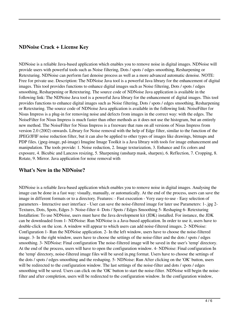#### **NDNoise Crack + License Key**

NDNoise is a reliable Java-based application which enables you to remove noise in digital images. NDNoise will provide users with powerful tools such as Noise filtering, Dots / spots / edges smoothing, Resharpening or Retexturing. NDNoise can perform fast denoise process as well as a more advanced automatic denoise. NOTE: Free for private use. Description: The NDNoise Java tool is a powerful Java library for the enhancement of digital images. This tool provides functions to enhance digital images such as Noise filtering, Dots / spots / edges smoothing, Resharpening or Retexturing. The source code of NDNoise Java application is available in the following link: The NDNoise Java tool is a powerful Java library for the enhancement of digital images. This tool provides functions to enhance digital images such as Noise filtering, Dots / spots / edges smoothing, Resharpening or Retexturing. The source code of NDNoise Java application is available in the following link: NoiseFilter for Nisus Impress is a plug-in for removing noise and defects from images in the correct way: with the edges. The NoiseFilter for Nisus Impress is much faster than other methods as it does not use the histogram, but an entirely new method. The NoiseFilter for Nisus Impress is a freeware that runs on all versions of Nisus Impress from version 2.0 (2002) onwards. Library for Noise removal with the help of Edge filter, similar to the function of the JPEG/JFIF noise reduction filter, but it can also be applied to other types of images like drawings, bitmaps and PDP files. (jpeg-image, pd-image) Imagine Image Toolkit is a Java library with tools for image enhancement and manipulation. The tools provide: 1. Noise reduction, 2. Image texturization, 3. Enhance and fix colors and exposure, 4. Bicubic and Lanczos resizing, 5. Sharpening (unsharp mask, sharpen), 6. Reflection, 7. Cropping, 8. Rotate, 9. Mirror. Java application for noise removal with

## **What's New in the NDNoise?**

NDNoise is a reliable Java-based application which enables you to remove noise in digital images. Analysing the image can be done in a fast way: visually, manually, or automatically. At the end of the process, users can save the image in different formats or to a directory. Features: - Fast execution - Very easy-to-use - Easy selection of parameters - Interactive user interface - User can save the noise-filtered image for later use Parameters: 1-.jpg 2- Textures, Dots, Spots, Edges 3- Noise-filter 4- Dots / Spots / Edges Smoothing 5- Reshaping 6- Retexturing Installation: To use NDNoise, users must have the Java development kit (JDK) installed. For instance, the JDK can be downloaded from 1- NDNoise: Run NDNoise is a Java-based application. In order to use it, users have to double-click on the icon. A window will appear to which users can add noise-filtered images. 2- NDNoise: Configuration 1- Run the NDNoise application. 2- In the left window, users have to choose the noise-filtered image. 3- In the right window, users have to choose the settings of the noise-filter and the dots / spots / edges smoothing. 3- NDNoise: Final configuration The noise-filtered image will be saved in the user's 'temp' directory. At the end of the process, users will have to open the configuration window. 4- NDNoise: Final configuration In the 'temp' directory, noise-filtered image files will be saved in.png format. Users have to choose the settings of the dots / spots / edges smoothing and the reshaping. 5- NDNoise: Run After clicking on the 'OK' button, users will be redirected to the configuration window. The last settings of the noise-filter and dots / spots / edges smoothing will be saved. Users can click on the 'OK' button to start the noise-filter. NDNoise will begin the noisefilter and after completion, users will be redirected to the configuration window. In the configuration window,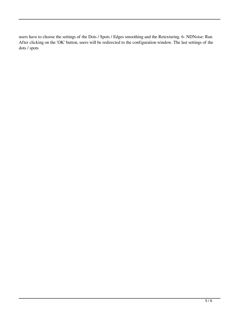users have to choose the settings of the Dots / Spots / Edges smoothing and the Retexturing. 6- NDNoise: Run After clicking on the 'OK' button, users will be redirected to the configuration window. The last settings of the dots / spots